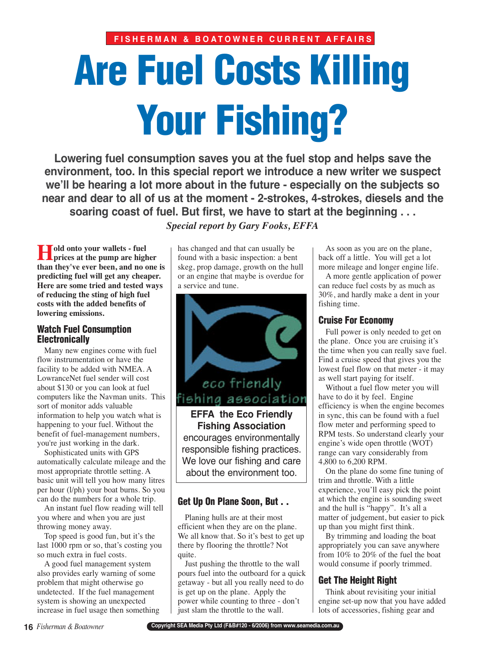# **Are Fuel Costs Killing Your Fishing?**

**Lowering fuel consumption saves you at the fuel stop and helps save the environment, too. In this special report we introduce a new writer we suspect we'll be hearing a lot more about in the future - especially on the subjects so near and dear to all of us at the moment - 2-strokes, 4-strokes, diesels and the soaring coast of fuel. But first, we have to start at the beginning . . .** 

*Special report by Gary Fooks, EFFA*

**Hold onto your wallets - fuel prices at the pump are higher than they've ever been, and no one is predicting fuel will get any cheaper. Here are some tried and tested ways of reducing the sting of high fuel costs with the added benefits of lowering emissions.**

#### **Watch Fuel Consumption Electronically**

Many new engines come with fuel flow instrumentation or have the facility to be added with NMEA. A LowranceNet fuel sender will cost about \$130 or you can look at fuel computers like the Navman units. This sort of monitor adds valuable information to help you watch what is happening to your fuel. Without the benefit of fuel-management numbers, you're just working in the dark.

Sophisticated units with GPS automatically calculate mileage and the most appropriate throttle setting. A basic unit will tell you how many litres per hour (l/ph) your boat burns. So you can do the numbers for a whole trip.

An instant fuel flow reading will tell you where and when you are just throwing money away.

Top speed is good fun, but it's the last 1000 rpm or so, that's costing you so much extra in fuel costs.

A good fuel management system also provides early warning of some problem that might otherwise go undetected. If the fuel management system is showing an unexpected increase in fuel usage then something

has changed and that can usually be found with a basic inspection: a bent skeg, prop damage, growth on the hull or an engine that maybe is overdue for a service and tune.



**Fishing Association**

encourages environmentally responsible fishing practices. We love our fishing and care about the environment too.

### **Get Up On Plane Soon, But . .**

Planing hulls are at their most efficient when they are on the plane. We all know that. So it's best to get up there by flooring the throttle? Not quite.

Just pushing the throttle to the wall pours fuel into the outboard for a quick getaway - but all you really need to do is get up on the plane. Apply the power while counting to three - don't just slam the throttle to the wall.

As soon as you are on the plane, back off a little. You will get a lot more mileage and longer engine life.

A more gentle application of power can reduce fuel costs by as much as 30%, and hardly make a dent in your fishing time.

## **Cruise For Economy**

Full power is only needed to get on the plane. Once you are cruising it's the time when you can really save fuel. Find a cruise speed that gives you the lowest fuel flow on that meter - it may as well start paying for itself.

Without a fuel flow meter you will have to do it by feel. Engine efficiency is when the engine becomes in sync, this can be found with a fuel flow meter and performing speed to RPM tests. So understand clearly your engine's wide open throttle (WOT) range can vary considerably from 4,800 to 6,200 RPM.

On the plane do some fine tuning of trim and throttle. With a little experience, you'll easy pick the point at which the engine is sounding sweet and the hull is "happy". It's all a matter of judgement, but easier to pick up than you might first think.

By trimming and loading the boat appropriately you can save anywhere from 10% to 20% of the fuel the boat would consume if poorly trimmed.

# **Get The Height Right**

Think about revisiting your initial engine set-up now that you have added lots of accessories, fishing gear and

**Copyright SEA Media Pty Ltd (F&B#120 - 6/2006) from www.seamedia.com.au**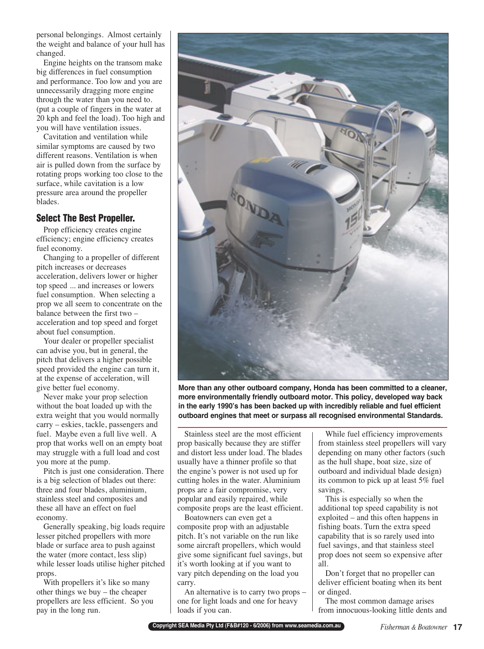personal belongings. Almost certainly the weight and balance of your hull has changed.

Engine heights on the transom make big differences in fuel consumption and performance. Too low and you are unnecessarily dragging more engine through the water than you need to. (put a couple of fingers in the water at 20 kph and feel the load). Too high and you will have ventilation issues.

Cavitation and ventilation while similar symptoms are caused by two different reasons. Ventilation is when air is pulled down from the surface by rotating props working too close to the surface, while cavitation is a low pressure area around the propeller blades.

#### **Select The Best Propeller.**

Prop efficiency creates engine efficiency; engine efficiency creates fuel economy.

Changing to a propeller of different pitch increases or decreases acceleration, delivers lower or higher top speed ... and increases or lowers fuel consumption. When selecting a prop we all seem to concentrate on the balance between the first two – acceleration and top speed and forget about fuel consumption.

Your dealer or propeller specialist can advise you, but in general, the pitch that delivers a higher possible speed provided the engine can turn it, at the expense of acceleration, will give better fuel economy.

Never make your prop selection without the boat loaded up with the extra weight that you would normally carry – eskies, tackle, passengers and fuel. Maybe even a full live well. A prop that works well on an empty boat may struggle with a full load and cost you more at the pump.

Pitch is just one consideration. There is a big selection of blades out there: three and four blades, aluminium, stainless steel and composites and these all have an effect on fuel economy.

Generally speaking, big loads require lesser pitched propellers with more blade or surface area to push against the water (more contact, less slip) while lesser loads utilise higher pitched props.

With propellers it's like so many other things we buy – the cheaper propellers are less efficient. So you pay in the long run.



**More than any other outboard company, Honda has been committed to a cleaner, more environmentally friendly outboard motor. This policy, developed way back in the early 1990's has been backed up with incredibly reliable and fuel efficient outboard engines that meet or surpass all recognised environmental Standards.** 

Stainless steel are the most efficient prop basically because they are stiffer and distort less under load. The blades usually have a thinner profile so that the engine's power is not used up for cutting holes in the water. Aluminium props are a fair compromise, very popular and easily repaired, while composite props are the least efficient.

Boatowners can even get a composite prop with an adjustable pitch. It's not variable on the run like some aircraft propellers, which would give some significant fuel savings, but it's worth looking at if you want to vary pitch depending on the load you carry.

An alternative is to carry two props – one for light loads and one for heavy loads if you can.

While fuel efficiency improvements from stainless steel propellers will vary depending on many other factors (such as the hull shape, boat size, size of outboard and individual blade design) its common to pick up at least 5% fuel savings.

This is especially so when the additional top speed capability is not exploited – and this often happens in fishing boats. Turn the extra speed capability that is so rarely used into fuel savings, and that stainless steel prop does not seem so expensive after all.

Don't forget that no propeller can deliver efficient boating when its bent or dinged.

The most common damage arises from innocuous-looking little dents and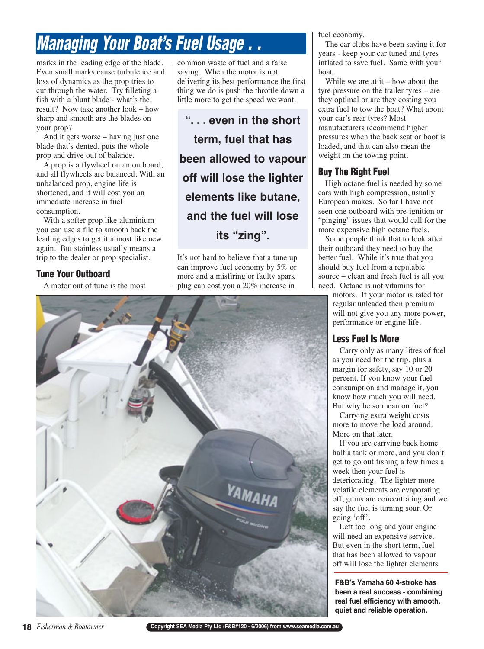# **Managing Your Boat's Fuel Usage . .**

marks in the leading edge of the blade. Even small marks cause turbulence and loss of dynamics as the prop tries to cut through the water. Try filleting a fish with a blunt blade - what's the result? Now take another look – how sharp and smooth are the blades on your prop?

And it gets worse – having just one blade that's dented, puts the whole prop and drive out of balance.

A prop is a flywheel on an outboard, and all flywheels are balanced. With an unbalanced prop, engine life is shortened, and it will cost you an immediate increase in fuel consumption.

With a softer prop like aluminium you can use a file to smooth back the leading edges to get it almost like new again. But stainless usually means a trip to the dealer or prop specialist.

## **Tune Your Outboard**

A motor out of tune is the most

common waste of fuel and a false saving. When the motor is not delivering its best performance the first thing we do is push the throttle down a little more to get the speed we want.

**". . . even in the short term, fuel that has been allowed to vapour off will lose the lighter elements like butane, and the fuel will lose its "zing".**

It's not hard to believe that a tune up can improve fuel economy by 5% or more and a misfiring or faulty spark plug can cost you a 20% increase in

fuel economy.

The car clubs have been saying it for years - keep your car tuned and tyres inflated to save fuel. Same with your boat.

While we are at it – how about the tyre pressure on the trailer tyres – are they optimal or are they costing you extra fuel to tow the boat? What about your car's rear tyres? Most manufacturers recommend higher pressures when the back seat or boot is loaded, and that can also mean the weight on the towing point.

# **Buy The Right Fuel**

High octane fuel is needed by some cars with high compression, usually European makes. So far I have not seen one outboard with pre-ignition or "pinging" issues that would call for the more expensive high octane fuels.

Some people think that to look after their outboard they need to buy the better fuel. While it's true that you should buy fuel from a reputable source – clean and fresh fuel is all you need. Octane is not vitamins for

motors. If your motor is rated for regular unleaded then premium will not give you any more power, performance or engine life.

# **Less Fuel Is More**

Carry only as many litres of fuel as you need for the trip, plus a margin for safety, say 10 or 20 percent. If you know your fuel consumption and manage it, you know how much you will need. But why be so mean on fuel?

Carrying extra weight costs more to move the load around. More on that later.

If you are carrying back home half a tank or more, and you don't get to go out fishing a few times a week then your fuel is deteriorating. The lighter more volatile elements are evaporating off, gums are concentrating and we say the fuel is turning sour. Or going 'off'.

Left too long and your engine will need an expensive service. But even in the short term, fuel that has been allowed to vapour off will lose the lighter elements

**F&B's Yamaha 60 4-stroke has been a real success - combining real fuel efficiency with smooth, quiet and reliable operation.** 



**18** *Fisherman & Boatowner*

**Copyright SEA Media Pty Ltd (F&B#120 - 6/2006) from www.seamedia.com.au**